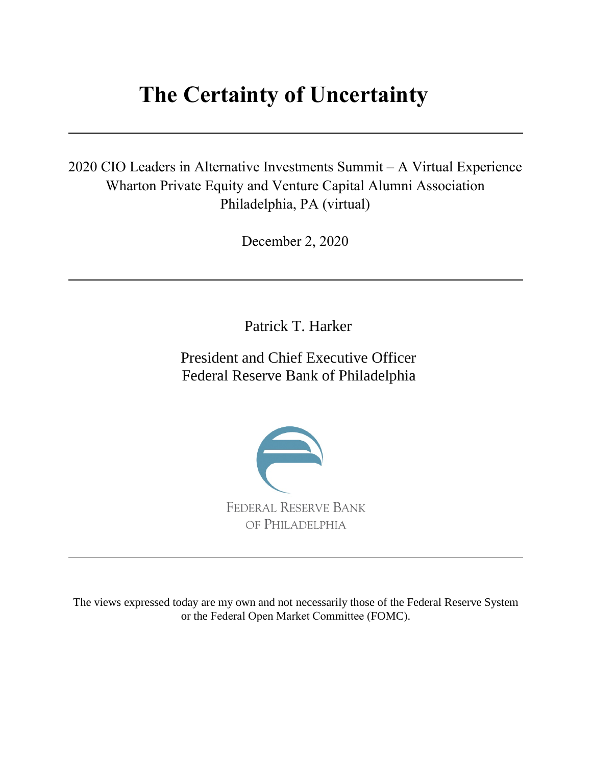# **The Certainty of Uncertainty**

2020 CIO Leaders in Alternative Investments Summit – A Virtual Experience Wharton Private Equity and Venture Capital Alumni Association Philadelphia, PA (virtual)

December 2, 2020

Patrick T. Harker

President and Chief Executive Officer Federal Reserve Bank of Philadelphia



The views expressed today are my own and not necessarily those of the Federal Reserve System or the Federal Open Market Committee (FOMC).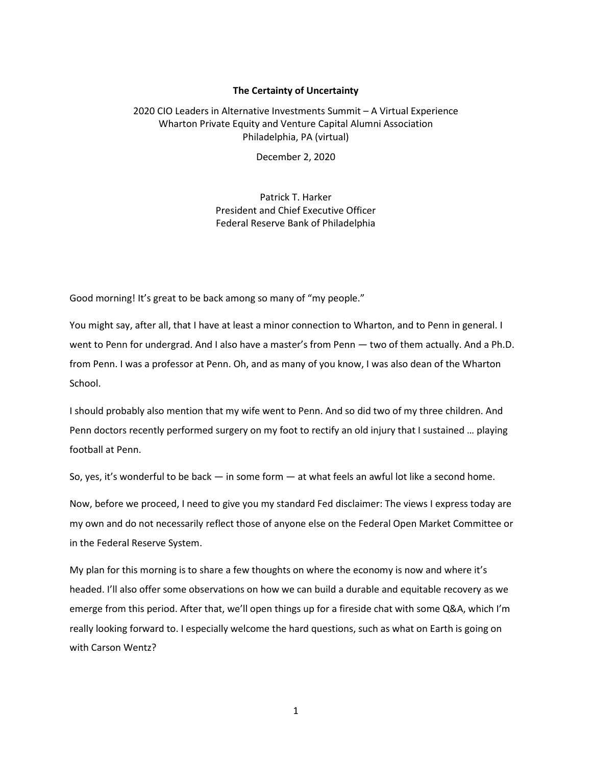### **The Certainty of Uncertainty**

## 2020 CIO Leaders in Alternative Investments Summit – A Virtual Experience Wharton Private Equity and Venture Capital Alumni Association Philadelphia, PA (virtual)

December 2, 2020

Patrick T. Harker President and Chief Executive Officer Federal Reserve Bank of Philadelphia

Good morning! It's great to be back among so many of "my people."

You might say, after all, that I have at least a minor connection to Wharton, and to Penn in general. I went to Penn for undergrad. And I also have a master's from Penn — two of them actually. And a Ph.D. from Penn. I was a professor at Penn. Oh, and as many of you know, I was also dean of the Wharton School.

I should probably also mention that my wife went to Penn. And so did two of my three children. And Penn doctors recently performed surgery on my foot to rectify an old injury that I sustained … playing football at Penn.

So, yes, it's wonderful to be back ― in some form ― at what feels an awful lot like a second home.

Now, before we proceed, I need to give you my standard Fed disclaimer: The views I express today are my own and do not necessarily reflect those of anyone else on the Federal Open Market Committee or in the Federal Reserve System.

My plan for this morning is to share a few thoughts on where the economy is now and where it's headed. I'll also offer some observations on how we can build a durable and equitable recovery as we emerge from this period. After that, we'll open things up for a fireside chat with some Q&A, which I'm really looking forward to. I especially welcome the hard questions, such as what on Earth is going on with Carson Wentz?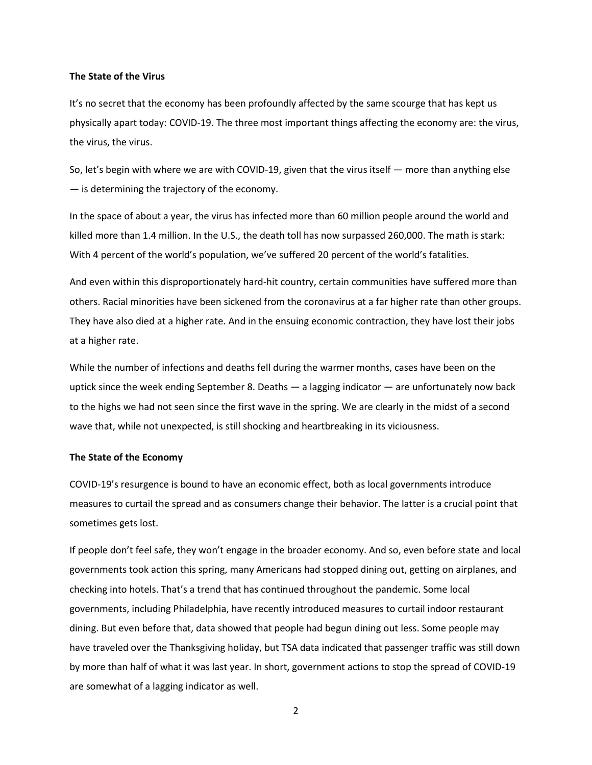#### **The State of the Virus**

It's no secret that the economy has been profoundly affected by the same scourge that has kept us physically apart today: COVID-19. The three most important things affecting the economy are: the virus, the virus, the virus.

So, let's begin with where we are with COVID-19, given that the virus itself ― more than anything else ― is determining the trajectory of the economy.

In the space of about a year, the virus has infected more than 60 million people around the world and killed more than 1.4 million. In the U.S., the death toll has now surpassed 260,000. The math is stark: With 4 percent of the world's population, we've suffered 20 percent of the world's fatalities.

And even within this disproportionately hard-hit country, certain communities have suffered more than others. Racial minorities have been sickened from the coronavirus at a far higher rate than other groups. They have also died at a higher rate. And in the ensuing economic contraction, they have lost their jobs at a higher rate.

While the number of infections and deaths fell during the warmer months, cases have been on the uptick since the week ending September 8. Deaths ― a lagging indicator ― are unfortunately now back to the highs we had not seen since the first wave in the spring. We are clearly in the midst of a second wave that, while not unexpected, is still shocking and heartbreaking in its viciousness.

#### **The State of the Economy**

COVID-19's resurgence is bound to have an economic effect, both as local governments introduce measures to curtail the spread and as consumers change their behavior. The latter is a crucial point that sometimes gets lost.

If people don't feel safe, they won't engage in the broader economy. And so, even before state and local governments took action this spring, many Americans had stopped dining out, getting on airplanes, and checking into hotels. That's a trend that has continued throughout the pandemic. Some local governments, including Philadelphia, have recently introduced measures to curtail indoor restaurant dining. But even before that, data showed that people had begun dining out less. Some people may have traveled over the Thanksgiving holiday, but TSA data indicated that passenger traffic was still down by more than half of what it was last year. In short, government actions to stop the spread of COVID-19 are somewhat of a lagging indicator as well.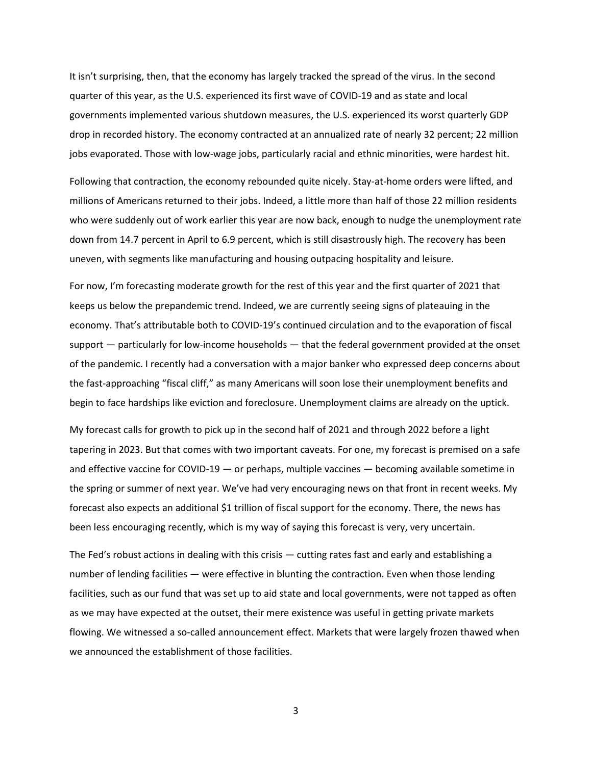It isn't surprising, then, that the economy has largely tracked the spread of the virus. In the second quarter of this year, as the U.S. experienced its first wave of COVID-19 and as state and local governments implemented various shutdown measures, the U.S. experienced its worst quarterly GDP drop in recorded history. The economy contracted at an annualized rate of nearly 32 percent; 22 million jobs evaporated. Those with low-wage jobs, particularly racial and ethnic minorities, were hardest hit.

Following that contraction, the economy rebounded quite nicely. Stay-at-home orders were lifted, and millions of Americans returned to their jobs. Indeed, a little more than half of those 22 million residents who were suddenly out of work earlier this year are now back, enough to nudge the unemployment rate down from 14.7 percent in April to 6.9 percent, which is still disastrously high. The recovery has been uneven, with segments like manufacturing and housing outpacing hospitality and leisure.

For now, I'm forecasting moderate growth for the rest of this year and the first quarter of 2021 that keeps us below the prepandemic trend. Indeed, we are currently seeing signs of plateauing in the economy. That's attributable both to COVID-19's continued circulation and to the evaporation of fiscal support — particularly for low-income households — that the federal government provided at the onset of the pandemic. I recently had a conversation with a major banker who expressed deep concerns about the fast-approaching "fiscal cliff," as many Americans will soon lose their unemployment benefits and begin to face hardships like eviction and foreclosure. Unemployment claims are already on the uptick.

My forecast calls for growth to pick up in the second half of 2021 and through 2022 before a light tapering in 2023. But that comes with two important caveats. For one, my forecast is premised on a safe and effective vaccine for COVID-19 ― or perhaps, multiple vaccines ― becoming available sometime in the spring or summer of next year. We've had very encouraging news on that front in recent weeks. My forecast also expects an additional \$1 trillion of fiscal support for the economy. There, the news has been less encouraging recently, which is my way of saying this forecast is very, very uncertain.

The Fed's robust actions in dealing with this crisis — cutting rates fast and early and establishing a number of lending facilities — were effective in blunting the contraction. Even when those lending facilities, such as our fund that was set up to aid state and local governments, were not tapped as often as we may have expected at the outset, their mere existence was useful in getting private markets flowing. We witnessed a so-called announcement effect. Markets that were largely frozen thawed when we announced the establishment of those facilities.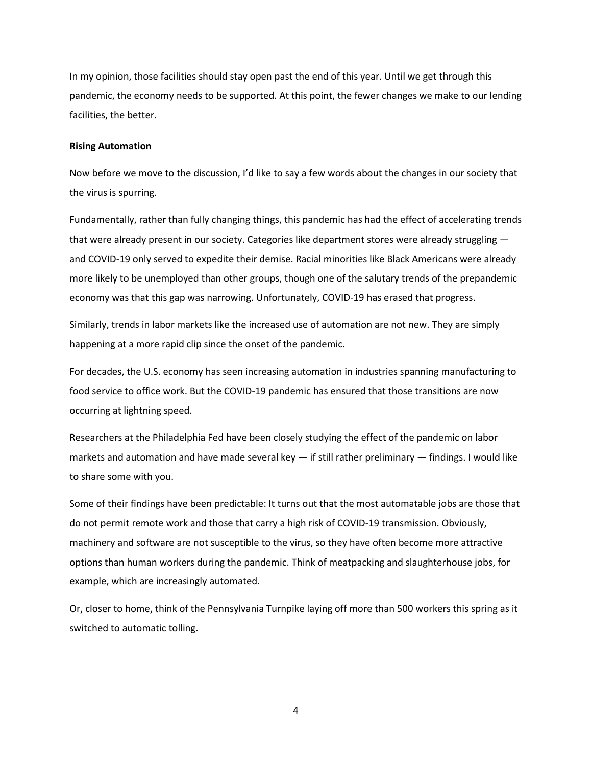In my opinion, those facilities should stay open past the end of this year. Until we get through this pandemic, the economy needs to be supported. At this point, the fewer changes we make to our lending facilities, the better.

#### **Rising Automation**

Now before we move to the discussion, I'd like to say a few words about the changes in our society that the virus is spurring.

Fundamentally, rather than fully changing things, this pandemic has had the effect of accelerating trends that were already present in our society. Categories like department stores were already struggling ― and COVID-19 only served to expedite their demise. Racial minorities like Black Americans were already more likely to be unemployed than other groups, though one of the salutary trends of the prepandemic economy was that this gap was narrowing. Unfortunately, COVID-19 has erased that progress.

Similarly, trends in labor markets like the increased use of automation are not new. They are simply happening at a more rapid clip since the onset of the pandemic.

For decades, the U.S. economy has seen increasing automation in industries spanning manufacturing to food service to office work. But the COVID-19 pandemic has ensured that those transitions are now occurring at lightning speed.

Researchers at the Philadelphia Fed have been closely studying the effect of the pandemic on labor markets and automation and have made several key — if still rather preliminary — findings. I would like to share some with you.

Some of their findings have been predictable: It turns out that the most automatable jobs are those that do not permit remote work and those that carry a high risk of COVID-19 transmission. Obviously, machinery and software are not susceptible to the virus, so they have often become more attractive options than human workers during the pandemic. Think of meatpacking and slaughterhouse jobs, for example, which are increasingly automated.

Or, closer to home, think of the Pennsylvania Turnpike laying off more than 500 workers this spring as it switched to automatic tolling.